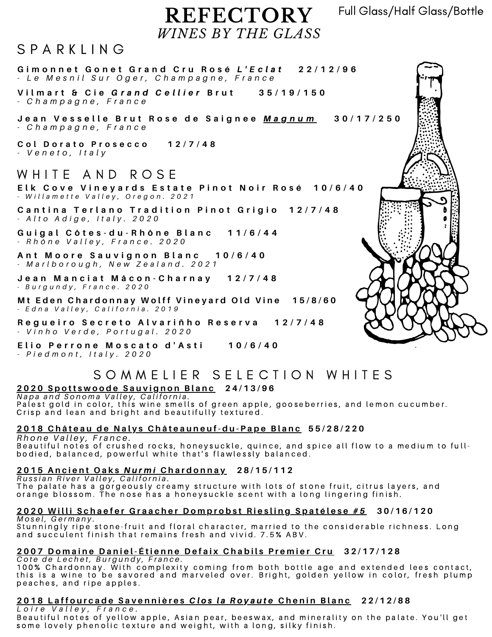Full Glass/Half Glass/Bottle

# **REFECTORY** *WINES BY THE GLASS*

## $S$  P A R K I I N G

Gimonnet Gonet Grand Cru Rosé L'Eclat 22/12/96 - Le Mesnil Sur Oger, Champagne, France

Vilmart & Cie Grand Cellier Brut 35/19/150 *- C h a m p a g n e , F r a n c e*

Jean Vesselle Brut Rose de Saignee <u>Magnum</u> 30/17/250 *- C h a m p a g n e , F r a n c e*

**C o l D o r a t o P r o s e c c o 1 2 / 7 / 4 8** *- V e n e t o , I t a l y*

### WHITE AND ROSF

Elk Cove Vineyards Estate Pinot Noir [R](https://en.wikipedia.org/wiki/Ros%C3%A9)osé 10/6/40 - Willamette Valley, Oregon. 2021

Cantina Terlano Tradition Pinot Grigio 12/7/48 *- A l t o A d i g e , I t a l y . 2 0 2 0*

Guigal Côtes-du-Rhône Blanc 11/6/44 *- R h ô n e V a l l e y , F r a n c e . 2 0 2 0*

Ant Moore Sauvignon Blanc 10/6/40 - Marlborough, New Zealand. 2021

Jean Manciat Mâcon-Charnay 12/7/48 *- B u r g u n d y , F r a n c e . 2 0 2 0*

Mt Eden Chardonnay Wolff Vineyard Old Vine 15/8/60 - Edna Valley, California. 2019

Regueiro Secreto Alvariñho Reserva 12/7/48 *- V i n h o V e r d e , P o r t u g a l . 2 0 2 0*

Elio Perrone Moscato d'Asti 10/6/40 *- P i e d m o n t , I t a l y . 2 0 2 0*

# S O M M E LI E R S E L E C T LO N W H LT E S

### 2020 Spottswoode Sauvignon Blanc 24/13/96

Napa and Sonoma Valley, California.<br>Palest gold in color, this wine smells of green apple, gooseberries, and lemon cucumber. Crisp and lean and bright and beautifully textured.

#### <u> 2018 Château de Nalys Châteauneuf-du-Pape Blanc</u> 55/28/220

*R h o n e V a l l e y , F r a n c e .* Beautiful notes of crushed rocks, honeysuckle, quince, and spice all flow to a medium to fullbodied, balanced, powerful white that's flawlessly balanced.

#### 2015 Ancient Oaks Nurmi Chardonnay 28/15/112

Russian River Valley, California. The palate has a gorgeously creamy structure with lots of stone fruit, citrus layers, and orange blossom. The nose has a honeysuckle scent with a long lingering finish.

#### 2020 Willi Schaefer Graacher Domprobst Riesling Spatélese #5 30/16/120 *M o s e l , G e r m a n y .*

Stunningly ripe stone-fruit and floral character, married to the considerable richness. Long and succulent finish that remains fresh and vivid. 7.5% ABV.

### <u> 2007 Domaine Daniel-Étienne Defaix Chabils Premier Cru</u> 32/17/128

Cote de Lechet, Burgundy, France.

100% Chardonnay. With complexity coming from both bottle age and extended lees contact, this is a wine to be savored and marveled over. Bright, golden yellow in color, fresh plump peaches, and ripe apples.

### 2018 Laffourcade Savennières Clos la Royaute Chenin Blanc 22/12/88

*L o i r e V a l l e y , F r a n c e .* Beautiful notes of yellow apple, Asian pear, beeswax, and minerality on the palate. You'll get some lovely phenolic texture and weight, with a long, silky finish.